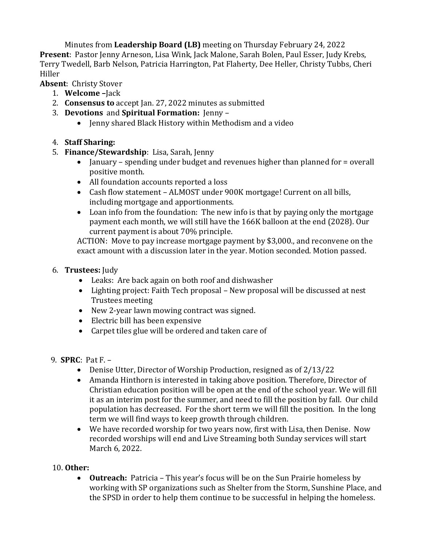Minutes from **Leadership Board (LB)** meeting on Thursday February 24, 2022 **Present**: Pastor Jenny Arneson, Lisa Wink, Jack Malone, Sarah Bolen, Paul Esser, Judy Krebs, Terry Twedell, Barb Nelson, Patricia Harrington, Pat Flaherty, Dee Heller, Christy Tubbs, Cheri Hiller

**Absent**: Christy Stover

- 1. **Welcome –**Jack
- 2. **Consensus to** accept Jan. 27, 2022 minutes as submitted
- 3. **Devotions** and **Spiritual Formation:** Jenny
	- Jenny shared Black History within Methodism and a video
- 4. **Staff Sharing:**
- 5. **Finance/Stewardship**: Lisa, Sarah, Jenny
	- January spending under budget and revenues higher than planned for = overall positive month.
	- All foundation accounts reported a loss
	- Cash flow statement ALMOST under 900K mortgage! Current on all bills, including mortgage and apportionments.
	- Loan info from the foundation: The new info is that by paying only the mortgage payment each month, we will still have the 166K balloon at the end (2028). Our current payment is about 70% principle.

ACTION: Move to pay increase mortgage payment by \$3,000., and reconvene on the exact amount with a discussion later in the year. Motion seconded. Motion passed.

## 6. **Trustees:** Judy

- Leaks: Are back again on both roof and dishwasher
- Lighting project: Faith Tech proposal New proposal will be discussed at nest Trustees meeting
- New 2-year lawn mowing contract was signed.
- Electric bill has been expensive
- Carpet tiles glue will be ordered and taken care of
- 9. **SPRC**: Pat F.
	- Denise Utter, Director of Worship Production, resigned as of 2/13/22
	- Amanda Hinthorn is interested in taking above position. Therefore, Director of Christian education position will be open at the end of the school year. We will fill it as an interim post for the summer, and need to fill the position by fall. Our child population has decreased. For the short term we will fill the position. In the long term we will find ways to keep growth through children.
	- We have recorded worship for two years now, first with Lisa, then Denise. Now recorded worships will end and Live Streaming both Sunday services will start March 6, 2022.

## 10. **Other:**

 **Outreach:** Patricia – This year's focus will be on the Sun Prairie homeless by working with SP organizations such as Shelter from the Storm, Sunshine Place, and the SPSD in order to help them continue to be successful in helping the homeless.